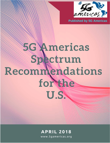

**Published by 5G Americas** 

# 5G Americas Spectrum Recommendations for the U.S.

## **APRIL 2018**

www.5gamericas.org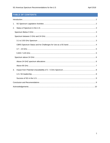### TABLE OF CONTENTS

| 1. |  |
|----|--|
| 2. |  |
|    |  |
|    |  |
|    |  |
|    |  |
|    |  |
|    |  |
|    |  |
|    |  |
|    |  |
| 3. |  |
|    |  |
|    |  |
|    |  |
|    |  |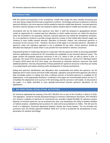#### <span id="page-2-0"></span>**INTRODUCTION**

With the advent and popularity of the smartphone, mobile data usage has been steadily increasing year over year along a steep trend line that is expected to continue. Technology continues to advance to improve spectrum efficiency, but more spectrum will be needed to meet the mobile data demand. Licensed spectrum has been used by operators as the raw material to deliver wireless data for mobile and nomadic use cases.

Incumbents who do not utilize their spectrum very often, in both the temporal or geographical domain, create an opportunity for a shared spectrum allocation in which mobile services can utilize the spectrum when the incumbent is not operating. However, licensed spectrum has fueled the smartphone revolution. So, it is important to continue to provide enough spectrum runway so that mobile data network supply can continue to meet mobile network demand. Allocation of licensed, shared, and unlicensed spectrum is necessary for the success of 5G. However, the focus of this paper is on licensed spectrum. Allocation of spectrum under one regulatory approach is not a substitute for the other. Future spectrum should be allocated and deployed in areas where it can provide the most benefit to wireless consumers.

Exponential growth in mobile data demand in conjunction with the spectrum needs of upcoming bandwidth intensive applications envisioned for 5G necessitate the availability of new licensed spectrum pools. This paper reviews the potential spectrum resources in the U.S. below 6 GHz as well as above 6 GHz. In particular, the recent NTIA announcement about 3.45-3.55 GHz spectrum, and the FCC Mid-Band Notice of Inquiry (NOI) about the 6-24 GHz range, are discussed as important spectrum resources that need additional attention. One key characteristic of these potential 5G spectrum resources is that they are mainly in occupied bands and require clearing and/or development of sharing mechanisms.

Noting that spectrum identification and allocations take considerable time before the spectrum can be deployed and to meet current and future traffic demands, regulators and government agencies will need to take immediate actions in making sure that a sufficient amount of licensed spectrum is available for 5G deployments, in the appropriate timeframe. Contained in this paper are recommended actions for the U.S. to facilitate the deployment and success of 5G technology and the services it will enable. As discussed in the paper, it is highly desirable to have globally-harmonized licensed spectrum allocations for 5G applications.

#### <span id="page-2-1"></span>**1. 5G SPECTRUM LEGISLATIVE ACTIVITIES**

5G Americas applauded the passing of the RAY BAUM'S Act as part of the Omnibus in March of 2018. This legislation, named for recently deceased Energy & Commerce staff director Ray Baum, RAY BAUM'S Act<sup>[1](#page-2-2)</sup> ensures a pipeline of spectrum for commercial use, provides needed flexibility for spectrum auction deposits so licensed spectrum can be auctioned this year, and streamlines the siting of wireless facilities on federal property, establishing best practices for state and local jurisdictions to follow. This bill was the result of a bipartisan, bicameral agreement between Senate and House leaders. The Act provides key provisions from the Senate approved MOBILE NOW ACT (S.19) to accelerate the development of nextgeneration 5G wireless technology.

<span id="page-2-2"></span><sup>&</sup>lt;sup>1</sup> [Ray Baum's Act,](https://energycommerce.house.gov/wp-content/uploads/2018/03/HR-4986-Suspension.pdf) February 8, 2018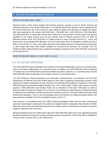#### <span id="page-3-0"></span>**2. STATUS OF SPECTRUM IN THE U.S.**

#### <span id="page-3-1"></span>SPECTRUM BELOW 3 GHZ

Spectrum below 3 GHz mainly includes the licensed spectrum currently in use for 3G/4G services and unlicensed spectrum used by Wi-Fi/Bluetooth. It is expected that 3G/4G spectrum will be repurposed for 5G over the long term, but, in the short term other spectrum options are necessary to support 5G. Bands with some potential for 5G include 1300-1390 MHz, 1780-1850 MHz, 1435-1525 MHz, 2700-2900 MHz, and 2900-3100 MHz. It would take several years before all or some portion of these bands may become available for 5G mobile services since all are currently used for Federal systems in the U.S. WRC-15 allocated portions of the 1427-1518 MHz to mobile services in many countries, but the U.S., China, and Russia have not yet adopted this allocation. The rest of the bands were not allocated to mobile services in WRC-15, but in the U.S., there is the option that some of the federal systems in these bands could relocate to other bands and make these bands available for commercial 5G services. For example, The FAA (Federal Aviation Administration) has considered relocating its operation from 1300-1350 MHz and freeing up this band for 5G.

#### <span id="page-3-3"></span><span id="page-3-2"></span>SPECTRUM BETWEEN 3 GHZ AND 24 GHZ

#### 3.1 TO 3.55 GHZ SPECTRUM

The 3100-3550 MHz band is allocated to the Federal Government Radiolocation service on a primary basis, and to non-Federal radiolocation on a secondary basis. In addition, the 3100-3300 MHz band is allocated to Federal and non-Federal Earth exploration-satellite and space research on a secondary basis and the 3300-3500 MHz band is allocated to the amateur service on a secondary basis.

The NTIA (National Telecommunications and Information Administration), in coordination with the DOD (Department of Defense) and other federal agencies have been considering repurposing a portion of this spectrum for wireless broadband services. Recently, they identified 100 megahertz of spectrum in the 3450- 3550 MHz band for potential broadband wireless use. In the United States, military radar systems currently operate in 3450-3550 MHz and Amateur Radio has an allocation in this band. DOD plans to submit a proposal under the Spectrum Pipeline Act to carry out a comprehensive radio-frequency engineering study to determine the potential for introducing advanced wireless services in this band without harming critical government operations. This is a very encouraging step in the direction of making the badly-needed midband spectrum available for the 5G broadband services in the U.S.

This spectrum is immediately below the CBRS (Citizens Broadband Radio Service) band. International spectrum harmonization could lead to the creation of a global market for equipment that includes the 3450- 3550 MHz band, and could help bring services to the market quicker, and provide economies of scale for suppliers, operators and consumers.

Being immediately below the CBRS band makes the 3450-3550 MHz band even more appealing because this band expands the amount of licensed mid-band spectrum beyond the 70 MHz that will be available for Priority Access Licenses (PAL) in the CBRS band.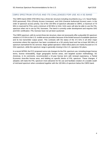#### <span id="page-4-0"></span>CBRS SPECTRUM STATUS AND ITS CHALLENGES FOR USE AS A 5G BAND

The CBRS band (3550-3700 MHz) has a three-tier structure including incumbents (e.g. U.S. Naval Radar, DOD personnel), PALs (Priority Access Licensees), and GAA (General Authorized Access) users, in the order of spectrum access priority. Out of the 150 MHz of spectrum allocated to CBRS, a maximum of 70 MHz is reserved for PALs and a minimum of 80 MHz to GAA. GAA users will also be able to use the PAL spectrum when not in use by PAL licensees. The band is currently under development and requires SAS and ESC certification. PAL licenses have not yet been auctioned.

The CBRS spectrum, with its current three-tier structure, does not necessarily offer a plausible 5G spectrum solution in 3-5 GHz to the U.S. mobile service providers because of the limited amount of available spectrum and its low transmitter output power. This contrasts with the status of the 3-5 GHz in all other major economies where this spectrum has been considered as a 5G priority band and has at least 300 MHz of spectrum earmarked for 5G services. Major global operators' initial rollout plans are mainly focused on 3-5 GHz spectrum, while this spectrum range is generally missing in the U.S. operators 5G plans.

In a recent NPRM, the FCC proposed some rule changes for the PAL spectrum use, including longer license terms, license renewability, larger geographic license areas, and targeted auction methodology. 5G Americas, in its comments, recommended a 10-year license term with renewal expectancy, a Partial Economic Area-like license area, and bidding on specific blocks of PAL spectrum. These changes, if adopted, will make the PAL spectrum more attractive for 5G use and facilitate creation of a sizable swath of mid-band spectrum when considered together with the 100 MHz of spectrum below the CBRS band.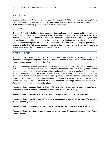#### <span id="page-5-0"></span>3.7 – 24 GHZ

Spectrum in the 3.7-24 GHz band was the subject of a recent FCC NOI. Three bands including 3.7-4.2 GHz, 5.925-6.425 GHz, and 6.425-7.125 GHz were specifically discussed. This is clearly a good first step in the direction of providing greater spectrum in the 3-5 GHz range.

#### **3.7 – 4.2 GHZ**

The band 3.7-4.2 GHz holds significant promise for terrestrial mobile, as it overlaps and is adjacent to the 3 GHz spectrum that is being made available for 5G services in Europe. It is also adjacent to the CBRS band discussed above. The band is also utilized by C-band satellite downlink and Fixed Services, and these uses will need to be addressed as part of the process to enable this band for terrestrial 5G. The FCC is currently considering options for 3.7-4.2 GHz, and a Notice of Proposed Rulemaking is expected in the summer of 2018. The FCC should analyze and get up-to date information on the C-band earth stations to ensure that if re-allocated, current users of the band are accommodated.

#### <span id="page-5-1"></span>5.925-7.125 GHZ

At present, the bands 6.425-7.125 GHz contain fixed links licensed to common carriers, the industrial/business pool, and public safety organizations. The band is also home to licensed mobile uses, such as remote broadcasting and public safety.

The FCC has opened an inquiry highlighted above inviting interested parties to comment on whether and how 5.925 -7.125 GHZ might be further utilized for wireless broadband. The Notice of Inquiry asked whether the band could be more intensively utilized by fixed and mobile services, and whether the band could be an expansion opportunity for unlicensed devices. The FCC has received many varied comments on its proposals, including some support for making some portion available for licensed broadband, but also comments from incumbents raising harmful interference concerns with respect to existing operations. A possible next step for the FCC would be a Notice of Proposed Rulemaking if it chooses to move forward. Otherwise there is no further action to be taken.

*Recommendation: Quickly finalize rules for the CBRS band in the U.S. by June 2018 and move toward an auction of the resulting licenses as soon as practicable (1H2019)*

#### *Recommendation: Certify a Spectrum Access System by August 2018 for the CBRS band*

*Recommendation: Prioritize rulemaking (in 2018) and allocation of the 3.7-4.2 GHz band for licensed 5G deployment by 2020,* 

*Recommendation: Open more mid band spectrum such as 3.45-3.55 GHz by 2022 or earlier.*

*Recommendation: Continue to look at spectrum opportunities for licensed use of spectrum in the range 7-24 GHz*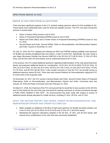#### <span id="page-6-0"></span>SPECTRUM ABOVE 24 GHZ

#### <span id="page-6-1"></span>ABOVE 24 GHZ SPECTRUM ALLOCATIONS

There has been significant progress in the U.S. towards making spectrum above 24 GHz available for 5G. These bands have traditionally been used for fixed and satellite services. The FCC has been driving this process in several steps:

- Notice of Inquiry (NOI) issued in end of 2014
- Notice of Proposed Rulemaking (NPRM) issued in end of 2015
- Report and Order (R&O) and a Further Notice of Proposed Rulemaking (FNPRM) issued on July 14, 2016
- Second Report and Order, Second NPRM, Order on Reconsideration, and Memorandum Opinion and Order, issued on November 22, 2017

On July 14, 2016, the FCC adopted and released an R&O and FNPRM making available more spectrum for flexible-use wireless broadband than ever before- a total of 10.85 GHz. Specifically, the rules create a new Upper Microwave Flexible Use Service (UMFUS) in the 28 GHz (27.5-28.35 GHz), 37 GHz (37-38.6 GHz), and 39 GHz (38.6-40 GHz) bands, and an unlicensed band at 64-71 GHz.

In the process, the FCC asked additional questions regarding implementation of the rules governing those bands and proposed additional bands for consideration: 24-25 GHz (24.25-24.45/24.75-25.25 GHz), 32 GHz (31.8-33.4 GHz), 42 GHz (42-42.5 GHz), 48 GHz (47.2-50.2 GHz), 51 GHz (50.4-52.6 GHz), 70 GHz (71-76 GHz), and 80 GHz (81-86 GHz). It also sought comment on how the FCC can provide access to additional spectrum above 95 GHz. There were also several Petitions for Reconsideration urging the FCC to revisit some of the proposed rules.

On November 22, 2017, the FCC issued a Second Report and Order, Second Further Notice of Proposed Rulemaking, Order on Reconsideration, and Memorandum Opinion and Order. Comments were due January 23, 2018 and Reply Comments were due February 22, 2018.

On March 27, 2018, the Chairman of the FCC announced that he would like to have auctions of the 28 GHz and 24 GHz bands by the end of the year and would be seeking comments on auction procedures through a Public Notice adopted in April 2018.[2](#page-6-2) No announcement has been made with respect to auction of additional bands already allocated for mobile services, including 37 GHz, 39 GHz, and 47 GHz.

#### WHAT THE SECOND REPORT AND ORDER, ORDER ON RECONSIDERATION, AND MEMORANDUM OPINION AND ORDER ACCOMPLISH:

- Made available an additional 1700 MHz of high band spectrum for flexible terrestrial wireless use in the 24 GHz ((24.25-24.45/24.75-25.25 GHz) and 47 GHz (47.2-48.2GHz) bands
- Maintained the spectrum allocations adopted in the 28 GHz, 37 GHz, and 39 GHz bands, with several minor modifications to the rules that were previously established

<span id="page-6-2"></span><sup>&</sup>lt;sup>2</sup> [FCC Fact Sheet,](https://transition.fcc.gov/Daily_Releases/Daily_Business/2018/db0327/DOC-349938A1.pdf) March 27, 2018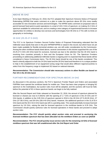#### <span id="page-7-0"></span>ABOVE 95 GHZ

At its Open Meeting on February 22, 2018, the FCC adopted their Spectrum Horizons Notice of Proposed Rulemaking (NPRM) that seeks comment on a plan to make the spectrum above 95 GHz more readily accessible for new innovative services and technologies. The NPRM seeks comment on proposed rules to permit licensed fixed point-to-point operations in a total of 102.2 GHz of spectrum; on making 15.2 GHz of spectrum available for unlicensed use; and on creating a new category of experimental licenses to increase opportunities for entities to develop new services and technologies from 95 GHz to 3 THz with no limits on geography or technology.

#### 26 GHZ (25.25-27.5 GHZ)

The FCC in its Spectrum Frontiers Second Further Notice of Proposed Rulemaking reiterated that the millimeter wave bands that were in the prior NPRM/FNPRM or raised in the record, but which have not yet been made available for flexible terrestrial wireless use, are still under consideration by the Commission. Among the other mmWave bands listed above, several commenters in this docket supported the use of the 25.25-27.5 GHz (26 GHz) band for exclusive, licensed use due to the attention that the 26 GHz band is receiving from countries primarily in Asia and the European Union for 5G. The Spectrum Frontiers proceeding on addressing additional millimeter bands is ongoing and it is expected that these bands will be considered in future Commission items. The 26 GHz band should be one of the bands considered. This band is directly adjacent to both the 24 GHz band and the 28 GHz band and therefore is in a unique position to help in the establishment of an equipment tuning range that would allow different regions/countries to select from this frequency range to implement 5G based on national interests.

#### *Recommendation: The Commission should take necessary actions to allow flexible use based on Part 30 in the 26 GHz band.*

#### FURTHER RECOMMENDATIONS FOR SPECTRUM ABOVE 24 GHZ

As discussed in the previous sections, the FCC's Spectrum Frontier Report and Orders and associated FNPRMs have opened the mmWave bands for mobile use. There has been clear progress in bringing 5G spectrum to the marketplace, but auction rules must still be adopted, and the auctions still must be held, before the potential of 5G in these spectrum bands can begin to be fully realized.

After the Second Report and Order released on November 22, 2016, the amount of spectrum planned for licensed or shared use rose to 5.55GHz with the opening of 1.7 GHz of spectrum in the 24 GHz and 47 GHz bands, in addition to the 3.85 GHz of spectrum opened in 2016 in the 28 GHz (27.5-28.35 GHz), 37 GHz (37-38.6 GHz), and 39 GHz (38.6-40 GHz) bands. However, the additional spectrum in the 31.8-33.4 GHz band and the 50.4-52.6 GHz band was left in a pending state. This would potentially increase licensed spectrum by 3.8 GHz, raising the total for licensed spectrum in the mmWave bands to 9.35 GHz. The Commission should quickly authorize rules for licensed operations in these bands and proceed to adopt auction rules.

#### *Recommendation: The FCC should quickly adopt auction rules and proceed to auctioning the licensed mmWave spectrum that has been allocated via the mmWave Orders as soon as Q42018*

*Recommendation: The FCC should quickly issue service rules for the remaining 3.8 GHz of licensed mmWave spectrum that was left unaddressed after the 2nd Report and Order*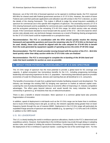Moreover, out of the 5.55 GHz of licensed spectrum so far opened in mmWave bands, the FCC reserved 600 MHz for shared used with Federal government services in 37-37.6 GHz. However, the extent of future Federal users and their particular applications and utilization was left unclear in the FCC's decision, as were the details of the sharing framework. This makes it difficult to judge the actual long-term availability of spectrum for commercial use in this specific 600 megahertz of spectrum. The uncertainty around a 37-37.6 GHz sharing framework and its availability for commercial users could impact the development of standards and the ecosystem pertaining to the remaining 37.6-40 GHz range, for which service rules are already issued. If the Commission decided to move forward with the auction of the 37.6 – 38.6 GHz band for which service rules already exist, any technical changes necessary as a result of finalizing sharing arrangements for the 37-37.6 GHz band could be implemented on a prospective basis.

*Recommendation: The FCC in coordination with the NTIA should quickly resolve the sharing framework and operability questions and issue the remaining rules for 37-37.6 GHz so the band can be used. Ideally, these rules should be aligned with the rules adopted for 37.6-40 GHz to benefit from the scale generated by equipment capable of operating across the entire 37-40 GHz range*

*Recommendation: The FCC should consider moving forward with the auction of the 37.6 – 38.6 GHz band quickly rather than delay auction while the 37-37.6 GHz rules are finalized*

*Recommendation: The FCC is encouraged to complete the re-banding of the 39 GHz band and make that band available for auction as soon as possible* 

#### <span id="page-8-0"></span>**3. IMPACT FROM POTENTIAL UNAVAILABILITY OF 3-5 GHZ SPECTRUM**

The 3-5 GHz range of spectrum has the most potential to provide a global band for 5G coverage and capacity. A global ecosystem has tremendous benefits for the U.S., including progressing technology leadership and improving experience for the U.S. population. Harmonizing international spectrum provides economies of scale for infrastructure, devices and roaming that are all beneficial to U.S. consumers.

The benefits of economies of scale from a global band includes facilitating research and development. The industry can leverage the existing R&D by bringing new spectrum to market at reduced capital costs. Lowering the cost of production/deployment has an economic effect of improving U.S. industry competitive advantages. The effect goes beyond telecom and would benefit the many industries that require connectivity in general e.g. all industries that rely on telecommunications.

There is also a benefit in shared innovation. More spectrum in a common global band also prevents fragmentation of innovation.

In addition, speed of deployment in mid-bands such as the 3-5 GHz range can be faster than in mmWave, due to reuse of the existing macro site grid, as well as, the network capacities being greater than on lower frequency bands through the use of massive MIMO. Deployment in the 3-5 GHz range will particularly be expedited if large amounts of spectrum are made available (e.g., by opening 3.7-4.2 GHz and 3.45-3.55GHz in addition to the CBRS band).

#### <span id="page-8-1"></span>U.S. 5G LEADERSHIP

The U.S. is clearly leading the world in mmWave spectrum allocations, thanks to the FCC's determined and expeditious actions. However, that leadership in the mmWave bands may erode through delays in adopting auction rules, and indeed in holding the auctions themselves. Consequently, the more important metric the deployment of 5G in mmWave in spectrum bands—could lag the rest of the world longer term. For this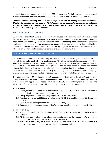reason, 5G Americas was very pleased that the FCC will consider a Public Notice for adoption at its April 2018 Open Meeting, and likely be requesting comment on auction rules for an auction by year end.

*Recommendation: Adopting service rules is only a first step in making spectrum operational. Shortly after adopting service rules, the FCC should strive (as a general practice in all bands) to set and publish attainable schedules for adopting auction rules and holding the spectrum auction for all available bands as quickly as possible*

#### <span id="page-9-0"></span>SUCCESS OF 5G IN THE U.S.

5G spectrum plans in the U.S. have so far been mainly focused on the spectrum above 24 GHz to address the needs of some of the use cases and deployment scenarios. While mmWaves are helpful in providing large bandwidths necessary for eMBB (enhanced Mobile Broadband), their fundamental propagation challenges prevent them from being an appropriate means for large area coverage. Having set a high level of expectations in the users' mind, the success of 5G greatly hinges on 5G services availability everywhere, which will greatly hinge on the spectrum allocations and auctions below 6 GHz.

#### <span id="page-9-1"></span>**CONCLUSION AND RECOMENDATIONS**

As 5G services are deployed in the U.S., they are expected to cover a wide range of applications which in turn will drive a wide variety of deployment scenarios. The different physical characteristics of spectrum leads to some applications being more suitable for, and expected to be deployed in, certain spectrum ranges including low-band, mid-band, and high-band. Each of these spectrum ranges has specific characteristics that make it suitable for certain deployment scenarios. Low-band for large-area coverage, mid-band for urban deployment with increased capacity, and high-band for limited coverage and very high capacity. As a result, no single band can meet every 5G requirement and fulfil the promises of 5G.

The future success of 5G services in the U.S. depends upon timely availability of sufficient spectrum resources to support the development, investment in and deployment of 5G. A U.S. regulatory framework that prioritizes and supports these needs both in the short (2018-2019) and long term is necessary. The following list of recommendations could drive the creation of such spectrum resources.

#### **1. 3 to 8 GHz:**

- 1.1. Quickly finalize rules for the CBRS band in the U.S. by June 2018 and move toward an auction of the resulting licenses as soon as practicable (1H2019)
- 1.2. Certify a Spectrum Access System by August 2018 for the CBRS band
- 1.3. Prioritize rulemaking (in 2018) and allocation of the 3.7-4.2 GHz band for licensed 5G deployment by 2020
- 1.4. Open more mid band spectrum such as 3.45-3.55 GHz by 2022
- 1.5. Continue to look at spectrum opportunities for licensed use of spectrum in the range 7-24 GHz

#### **2. Above 24 GHz:**

- 2.1. The Commission should take necessary actions to allow flexible use based on Part 30 in the 26 GHz band
- 2.2. FCC should quickly adopt auction rules and proceed to auctioning the licensed mmWave spectrum that has been allocated via the mmWave Orders as soon as Q42018
- 2.3. The FCC should quickly issue service rules for the remaining 3.8 GHz of licensed mmWave spectrum that was left unaddressed after the 2nd Report and Order